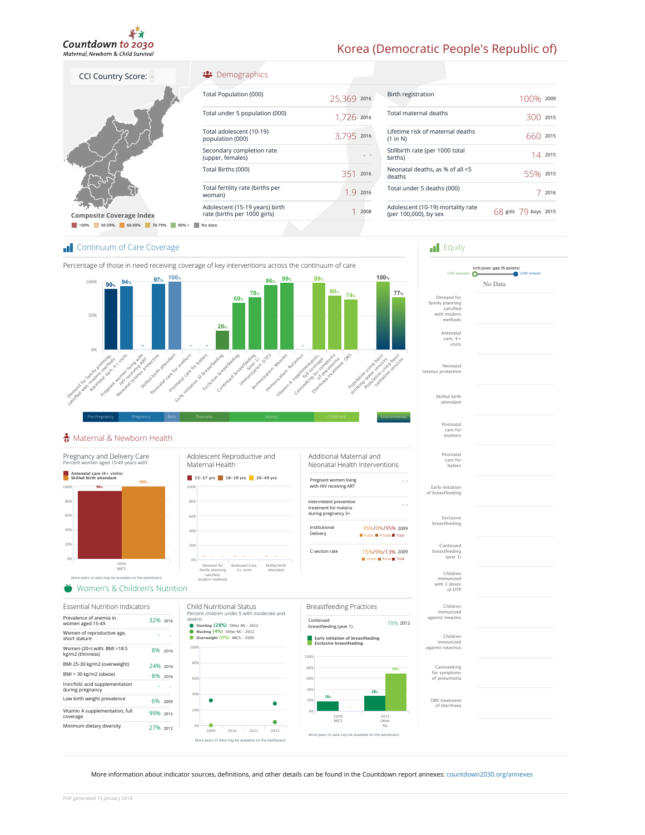

## Korea (Democratic People's Republic of)

**Figuity** 

Postnatal care for mothers

Skilled birth attendant

Neonatal tetanus protection

Antenatal care, 4+ visits

Demand for family planning satisfied with modern i iliuucili<br>mathods

|  | <b>CCI Country Score:</b>           |         |                                     | <mark>:</mark> Demogra                  |
|--|-------------------------------------|---------|-------------------------------------|-----------------------------------------|
|  |                                     |         |                                     | Total Population                        |
|  |                                     |         |                                     | Total under 5 pop                       |
|  |                                     |         |                                     | Total adolescent<br>population (000)    |
|  |                                     |         | Secondary compl<br>(upper, females) |                                         |
|  |                                     |         |                                     | Total Births (000)                      |
|  |                                     |         | woman)                              | Total fertility rate                    |
|  | <b>Composite Coverage Index</b>     |         |                                     | Adolescent (15-19<br>rate (births per 1 |
|  | < 50%<br>50-59%<br>60-69%<br>70-79% | $80% +$ | No data                             |                                         |
|  |                                     |         |                                     |                                         |

#### phics

| Total Population (000)                                         | 25,369 2016 |      |
|----------------------------------------------------------------|-------------|------|
| Total under 5 population (000)                                 | 1,726 2016  |      |
| Total adolescent (10-19)<br>population (000)                   | 3,795 2016  |      |
| Secondary completion rate<br>(upper, females)                  |             |      |
| Total Births (000)                                             | 351         | 2016 |
| Total fertility rate (births per<br>woman)                     | 19          | 2016 |
| Adolescent (15-19 years) birth<br>rate (births per 1000 girls) |             | 2008 |
|                                                                |             |      |

| Birth registration                                         | $1()()$ % 2009            |
|------------------------------------------------------------|---------------------------|
| Total maternal deaths                                      | 2015<br>300               |
| Lifetime risk of maternal deaths<br>(1 in N)               | 2015<br>660               |
| Stillbirth rate (per 1000 total<br>births)                 | 14.2015                   |
| Neonatal deaths, as % of all <5<br>deaths                  | 55% 2015                  |
| Total under 5 deaths (000)                                 | 2016                      |
| Adolescent (10-19) mortality rate<br>(per 100,000), by sex | $68$ girls $79$ boys 2015 |
|                                                            |                           |

rich/poor gap (% points) (20% poorest) (20% richest) No Data

#### **Continuum of Care Coverage**



### Maternal & Newborn Health



#### More information about indicator sources, definitions, and other details can be found in the Countdown report annexes: countdown2030.org/annexes